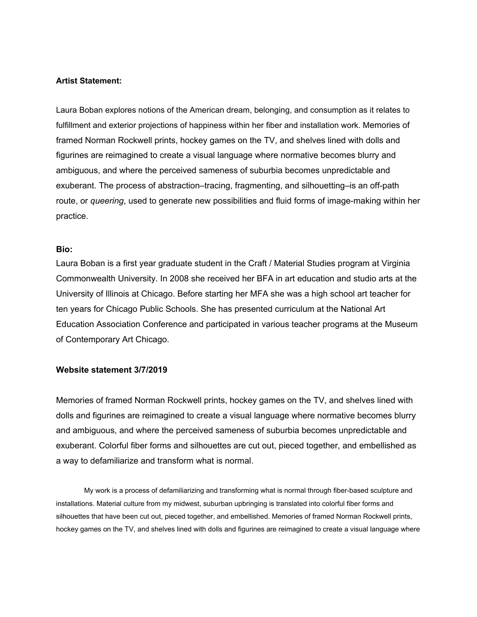## **Artist Statement:**

Laura Boban explores notions of the American dream, belonging, and consumption as it relates to fulfillment and exterior projections of happiness within her fiber and installation work. Memories of framed Norman Rockwell prints, hockey games on the TV, and shelves lined with dolls and figurines are reimagined to create a visual language where normative becomes blurry and ambiguous, and where the perceived sameness of suburbia becomes unpredictable and exuberant. The process of abstraction–tracing, fragmenting, and silhouetting–is an off-path route, or *queering*, used to generate new possibilities and fluid forms of image-making within her practice.

## **Bio:**

Laura Boban is a first year graduate student in the Craft / Material Studies program at Virginia Commonwealth University. In 2008 she received her BFA in art education and studio arts at the University of Illinois at Chicago. Before starting her MFA she was a high school art teacher for ten years for Chicago Public Schools. She has presented curriculum at the National Art Education Association Conference and participated in various teacher programs at the Museum of Contemporary Art Chicago.

## **Website statement 3/7/2019**

Memories of framed Norman Rockwell prints, hockey games on the TV, and shelves lined with dolls and figurines are reimagined to create a visual language where normative becomes blurry and ambiguous, and where the perceived sameness of suburbia becomes unpredictable and exuberant. Colorful fiber forms and silhouettes are cut out, pieced together, and embellished as a way to defamiliarize and transform what is normal.

My work is a process of defamiliarizing and transforming what is normal through fiber-based sculpture and installations. Material culture from my midwest, suburban upbringing is translated into colorful fiber forms and silhouettes that have been cut out, pieced together, and embellished. Memories of framed Norman Rockwell prints, hockey games on the TV, and shelves lined with dolls and figurines are reimagined to create a visual language where